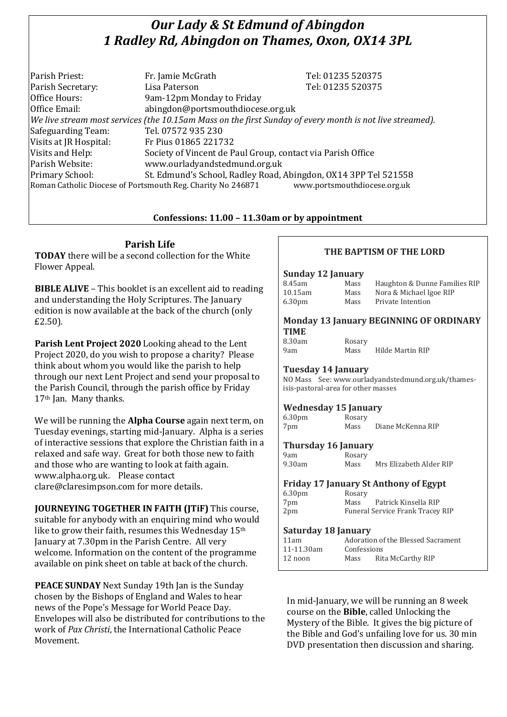# *Our Lady & St Edmund of Abingdon 1 Radley Rd, Abingdon on Thames, Oxon, OX14 3PL*

| Parish Priest:                                                                                           | Fr. Jamie McGrath                                               | Tel: 01235 520375 |
|----------------------------------------------------------------------------------------------------------|-----------------------------------------------------------------|-------------------|
| Parish Secretary:                                                                                        | Lisa Paterson                                                   | Tel: 01235 520375 |
| Office Hours:                                                                                            | 9am-12pm Monday to Friday                                       |                   |
| Office Email:                                                                                            | abingdon@portsmouthdiocese.org.uk                               |                   |
| We live stream most services (the 10.15am Mass on the first Sunday of every month is not live streamed). |                                                                 |                   |
| Safeguarding Team:                                                                                       | Tel. 07572 935 230                                              |                   |
| Visits at JR Hospital:                                                                                   | Fr Pius 01865 221732                                            |                   |
| Visits and Help:                                                                                         | Society of Vincent de Paul Group, contact via Parish Office     |                   |
| Parish Website:                                                                                          | www.ourladyandstedmund.org.uk                                   |                   |
| Primary School:                                                                                          | St. Edmund's School, Radley Road, Abingdon, OX14 3PP Tel 521558 |                   |
| www.portsmouthdiocese.org.uk<br>Roman Catholic Diocese of Portsmouth Reg. Charity No 246871              |                                                                 |                   |

## **Confessions: 11.00 – 11.30am or by appointment**

# **Parish Life**

**TODAY** there will be a second collection for the White Flower Appeal.

**BIBLE ALIVE** – This booklet is an excellent aid to reading and understanding the Holy Scriptures. The January edition is now available at the back of the church (only £2.50).

**Parish Lent Project 2020** Looking ahead to the Lent Project 2020, do you wish to propose a charity? Please think about whom you would like the parish to help through our next Lent Project and send your proposal to the Parish Council, through the parish office by Friday 17th Jan. Many thanks.

We will be running the **Alpha Course** again next term, on Tuesday evenings, starting mid-January. Alpha is a series of interactive sessions that explore the Christian faith in a relaxed and safe way. Great for both those new to faith and those who are wanting to look at faith again. www.alpha.org.uk. Please contact clare@claresimpson.com for more details.

**JOURNEYING TOGETHER IN FAITH (ITIF)** This course, suitable for anybody with an enquiring mind who would like to grow their faith, resumes this Wednesday 15th January at 7.30pm in the Parish Centre. All very welcome. Information on the content of the programme available on pink sheet on table at back of the church.

**PEACE SUNDAY** Next Sunday 19th Jan is the Sunday chosen by the Bishops of England and Wales to hear news of the Pope's Message for World Peace Day. Envelopes will also be distributed for contributions to the work of *Pax Christi*, the International Catholic Peace Movement.

# **THE BAPTISM OF THE LORD**

#### **Sunday 12 January**

| 8.45am             | Mass | Haughton & Dunne Families RIP |
|--------------------|------|-------------------------------|
| 10.15am            | Mass | Nora & Michael Igoe RIP       |
| 6.30 <sub>pm</sub> | Mass | Private Intention             |
|                    |      |                               |

#### **Monday 13 January BEGINNING OF ORDINARY TIME**

| 8.30am | Rosary |
|--------|--------|
| 9am    | Mass   |

Mass Hilde Martin RIP

## **Tuesday 14 January**

NO Mass See: www.ourladyandstedmund.org.uk/thamesisis-pastoral-area for other masses

## **Wednesday 15 January**

6.30pm Rosary 7pm Mass Diane McKenna RIP

## **Thursday 16 January**

| 9am    |  |
|--------|--|
| 9.30am |  |

Rosary Mass Mrs Elizabeth Alder RIP

# **Friday 17 January St Anthony of Egypt**

| 6.30 <sub>pm</sub> | Rosary |                                  |
|--------------------|--------|----------------------------------|
| 7pm                | Mass   | Patrick Kinsella RIP             |
| 2 <sub>pm</sub>    |        | Funeral Service Frank Tracey RIP |

#### **Saturday 18 January**

| 11am       | Adoration of the Blessed Sacrament |                   |
|------------|------------------------------------|-------------------|
| 11-11.30am | Confessions                        |                   |
| 12 noon    | Mass                               | Rita McCarthy RIP |

In mid-January, we will be running an 8 week course on the **Bible**, called Unlocking the Mystery of the Bible. It gives the big picture of the Bible and God's unfailing love for us. 30 min DVD presentation then discussion and sharing.